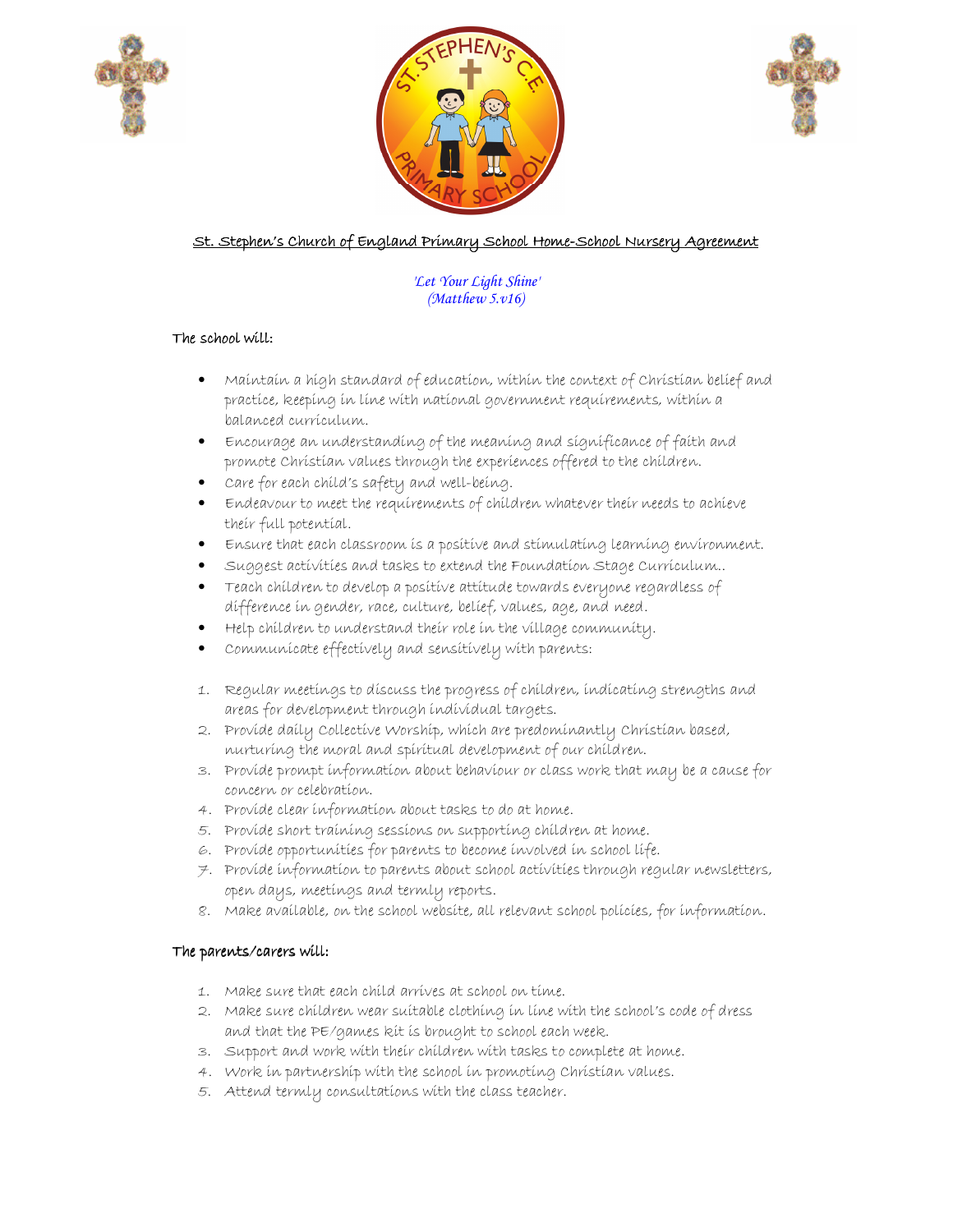





# St. Stephen's Church of England Primary School Home-School Nursery Agreement

#### *'Let Your Light Shine' (Matthew 5.v16)*

## The school will:

- Maintain a high standard of education, within the context of Christian belief and practice, keeping in line with national government requirements, within a balanced curriculum.
- Encourage an understanding of the meaning and significance of faith and promote Christian values through the experiences offered to the children.
- Care for each child's safety and well-being.
- Endeavour to meet the requirements of children whatever their needs to achieve their full potential.
- Ensure that each classroom is a positive and stimulating learning environment.
- Suggest activities and tasks to extend the Foundation Stage Curriculum..
- Teach children to develop a positive attitude towards everyone regardless of difference in gender, race, culture, belief, values, age, and need.
- Help children to understand their role in the village community.
- Communicate effectively and sensitively with parents:
- 1. Regular meetings to discuss the progress of children, indicating strengths and areas for development through individual targets.
- 2. Provide daily Collective Worship, which are predominantly Christian based, nurturing the moral and spiritual development of our children.
- 3. Provide prompt information about behaviour or class work that may be a cause for concern or celebration.
- 4. Provide clear information about tasks to do at home.
- 5. Provide short training sessions on supporting children at home.
- 6. Provide opportunities for parents to become involved in school life.
- 7. Provide information to parents about school activities through regular newsletters, open days, meetings and termly reports.
- 8. Make available, on the school website, all relevant school policies, for information.

## The parents/carers will:

- 1. Make sure that each child arrives at school on time.
- 2. Make sure children wear suitable clothing in line with the school's code of dress and that the PE/games kit is brought to school each week.
- 3. Support and work with their children with tasks to complete at home.
- 4. Work in partnership with the school in promoting Christian values.
- 5. Attend termly consultations with the class teacher.